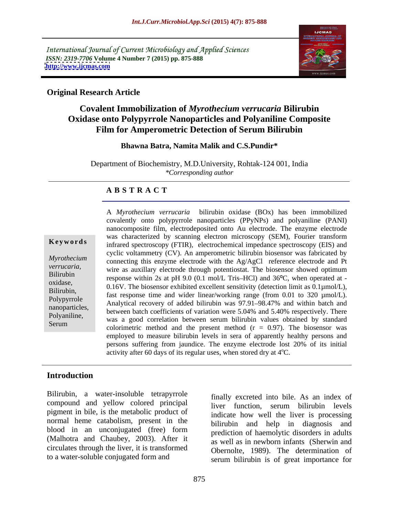International Journal of Current Microbiology and Applied Sciences *ISSN: 2319-7706* **Volume 4 Number 7 (2015) pp. 875-888 <http://www.ijcmas.com>**



### **Original Research Article**

## **Covalent Immobilization of** *Myrothecium verrucaria* **Bilirubin Oxidase onto Polypyrrole Nanoparticles and Polyaniline Composite Film for Amperometric Detection of Serum Bilirubin**

### **Bhawna Batra, Namita Malik and C.S.Pundir\***

Department of Biochemistry, M.D.University, Rohtak-124 001, India *\*Corresponding author*

### **A B S T R A C T**

Serum

A *Myrothecium verrucaria* bilirubin oxidase (BOx) has been immobilized covalently onto polypyrrole nanoparticles (PPyNPs) and polyaniline (PANI) nanocomposite film, electrodeposited onto Au electrode. The enzyme electrode was characterized by scanning electron microscopy (SEM), Fourier transform **Keywords** infrared spectroscopy (FTIR), electrochemical impedance spectroscopy (EIS) and cyclic voltammetry (CV). An amperometric bilirubin biosensor was fabricated by Myrothecium connecting this enzyme electrode with the Ag/AgCl reference electrode and Pt verrucaria,<br>
wire as auxillary electrode through potentiostat. The biosensor showed optimum Bilirubin<br>response within 2s at pH 9.0 (0.1 mol/L Tris-HCl) and  $36^{\circ}$ C, when operated at oxidase,  $0.16V$ . The biosensor exhibited excellent sensitivity (detection limit as  $0.1\mu$ mol/L),  $D_i$ Bilirubin,<br>fast response time and wider linear/working range (from 0.01 to 320  $\mu$ mol/L). Polypyrrole<br>Analytical recovery of added bilirubin was 97.91–98.47% and within batch and nanoparticles,<br>
between batch coefficients of variation were 5.04% and 5.40% respectively. There Polyaniline,<br>
was a good correlation between serum bilirubin values obtained by standard colorimetric method and the present method  $(r = 0.97)$ . The biosensor was employed to measure bilirubin levels in sera of apparently healthy persons and persons suffering from jaundice. The enzyme electrode lost 20% of its initial activity after 60 days of its regular uses, when stored dry at  $4^{\circ}$ C.

### **Introduction**

Bilirubin, a water-insoluble tetrapyrrole compound and yellow colored principal pigment in bile, is the metabolic product of normal heme catabolism, present in the blood in an unconjugated (free) form (Malhotra and Chaubey, 2003). After it circulates through the liver, it is transformed to a water-soluble conjugated form and

finally excreted into bile. As an index of liver function, serum bilirubin levels indicate how well the liver is processing bilirubin and help in diagnosis and prediction of haemolytic disorders in adults as well as in newborn infants (Sherwin and Obernolte, 1989). The determination of serum bilirubin is of great importance for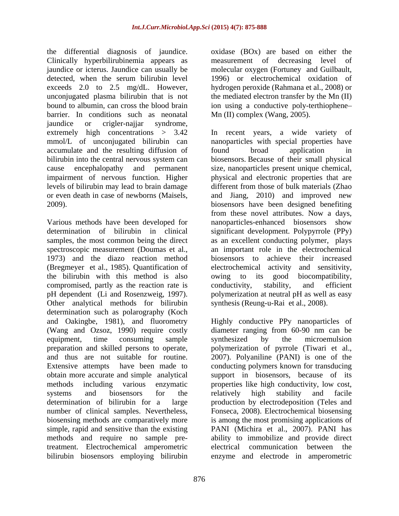the differential diagnosis of jaundice. oxidase (BOx) are based on either the Clinically hyperbilirubinemia appears as jaundice or icterus. Jaundice can usually be molecular oxygen (Fortuney and Guilbault, detected, when the serum bilirubin level 1996) or electrochemical oxidation of exceeds 2.0 to 2.5 mg/dL. However, hydrogen peroxide (Rahmana et al., 2008) or unconjugated plasma bilirubin that is not bound to albumin, can cross the blood brain ion using a conductive poly-terthiophenebarrier. In conditions such as neonatal jaundice or crigler-najjar syndrome, extremely high concentrations > 3.42 In recent years, a wide variety of accumulate and the resulting diffusion of found broad application in

Various methods have been developed for spectroscopic measurement (Doumas et al., 1973) and the diazo reaction method (Bregmeyer et al., 1985). Quantification of the bilirubin with this method is also owing to its good biocompatibility, compromised, partly as the reaction rate is conductivity, stability, and efficient Other analytical methods for bilirubin synthesis (Reung-u-Rai et al., 2008). determination such as polarography (Koch and Oakingbe, 1981), and fluorometry Highly conductive PPy nanoparticles of (Wang and Ozsoz, 1990) require costly diameter ranging from 60-90 nm can be simple, rapid and sensitive than the existing treatment. Electrochemical amperometric

measurement of decreasing level the mediated electron transfer by the Mn (II) Mn (II) complex (Wang, 2005).

mmol/L of unconjugated bilirubin can nanoparticles with special properties have bilirubin into the central nervous system can biosensors. Because of their small physical cause encephalopathy and permanent size, nanoparticles present unique chemical, impairment of nervous function. Higher physical and electronic properties that are levels of bilirubin may lead to brain damage different from those of bulk materials (Zhao or even death in case of newborns (Maisels, and Jiang, 2010) and improved new 2009). biosensors have been designed benefiting determination of bilirubin in clinical significant development. Polypyrrole (PPy) samples, the most common being the direct as an excellent conducting polymer, plays pH dependent (Li and Rosenzweig, 1997). polymerization at neutral pH as well as easy In recent years, a wide variety found broad application in biosensors. Because of their small physical from these novel attributes. Now a days, nanoparticles-enhanced biosensors show an important role in the electrochemical biosensors to achieve their increased activity and sensitivity, owing to its good biocompatibility, conductivity, stability, and efficient

equipment, time consuming sample synthesized by the microemulsion preparation and skilled persons to operate, polymerization of pyrrole (Tiwari et al., and thus are not suitable for routine. 2007). Polyaniline (PANI) is one of the Extensive attempts have been made to conducting polymers known for transducing obtain more accurate and simple analytical support in biosensors, because of its methods including various enzymatic properties like high conductivity, low cost, systems and biosensors for the relatively high stability and facile determination of bilirubin for a large production by electrodeposition (Teles and number of clinical samples. Nevertheless, Fonseca, 2008). Electrochemical biosensing biosensing methods are comparatively more is among the most promising applications of methods and require no sample pre-ability to immobilize and provide direct bilirubin biosensors employing bilirubin enzyme and electrode in amperometricsynthesis (Reung-u-Rai et al., 2008). Highly conductive PPy nanoparticles of diameter ranging from 60-90 nm can be synthesized by the microemulsion relatively high stability and facile PANI (Michira et al., 2007). PANI has electrical communication between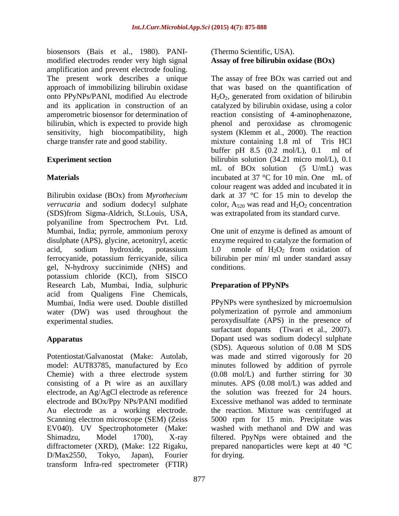biosensors (Bais et al., 1980). PANI modified electrodes render very high signal amplification and prevent electrode fouling. onto PPyNPs/PANI, modified Au electrode charge transfer rate and good stability. The mixture containing 1.8 ml of Tris HCl

Bilirubin oxidase (BOx) from *Myrothecium*  dark at 37 °C for 15 min to develop the *verrucaria* and sodium dodecyl sulphate color,  $A_{520}$  was read and  $H_2O_2$  concentration (SDS)from Sigma-Aldrich, St.Louis, USA, polyaniline from Spectrochem Pvt. Ltd. Mumbai, India; pyrrole, ammonium peroxy One unit of enzyme is defined as amount of disulphate (APS), glycine, acetonitryl, acetic enzyme required to catalyze the formation of acid, sodium hydroxide, potassium 1.0 nmole of  $H_2O_2$  from oxidation of ferrocyanide, potassium ferricyanide, silica bilirubin per min/ ml under standard assay gel, N-hydroxy succinimide (NHS) and potassium chloride (KCl), from SISCO Research Lab, Mumbai, India, sulphuric acid from Qualigens Fine Chemicals, Mumbai, India were used. Double distilled water (DW) was used throughout the experimental studies. peroxydisulfate (APS) in the presence of

Potentiostat/Galvanostat (Make: Autolab, was made and stirred vigorously for 20 model: AUT83785, manufactured by Eco minutes followed by addition of pyrrole Chemie) with a three electrode system consisting of a Pt wire as an auxillary minutes. APS (0.08 mol/L) was added and electrode, an Ag/AgCl electrode as reference electrode and BOx/Ppy NPs/PANI modified Au electrode as a working electrode. the reaction. Mixture was centrifuged at Scanning electron microscope (SEM) (Zeiss 5000 rpm for 15 min. Precipitate was EV040). UV Spectrophotometer (Make: washed with methanol and DW and was Shimadzu, Model 1700), X-ray filtered. PpyNps were obtained and the diffractometer (XRD), (Make: 122 Rigaku, prepared nanoparticles were kept at 40 °C D/Max2550, Tokyo, Japan), Fourier transform Infra-red spectrometer (FTIR)

### (Thermo Scientific, USA). **Assay of free bilirubin oxidase (BOx)**

The present work describes a unique The assay of free BOx was carried out and approach of immobilizing bilirubin oxidase that was based on the quantification of and its application in construction of an catalyzed by bilirubin oxidase, using a color amperometric biosensor for determination of reaction consisting of 4-aminophenazone, bilirubin, which is expected to provide high phenol and peroxidase as chromogenic sensitivity, high biocompatibility, high system (Klemm et al., 2000). The reaction **Experiment section** bilirubin solution (34.21 micro mol/L), 0.1 **Materials incubated at 37 °C for 10 min. One mL of**  $H_2O_2$ , generated from oxidation of bilirubin mixture containing  $1.8$  ml of buffer pH 8.5 (0.2 mol/L), 0.1 ml of mL of BOx solution (5 U/mL) was colour reagent was added and incubated it in was extrapolated from its standard curve.

> 1.0 nmole of  $H_2O_2$  from oxidation of conditions.

### **Preparation of PPyNPs**

**Apparatus**  Dopant used was sodium dodecyl sulphate PPyNPs were synthesized by microemulsion polymerization of pyrrole and ammonium surfactant dopants (Tiwari et al., 2007). (SDS). Aqueous solution of 0.08 M SDS (0.08 mol/L) and further stirring for 30 the solution was freezed for 24 hours. Excessive methanol was added to terminate washed with methanol and DW and was for drying.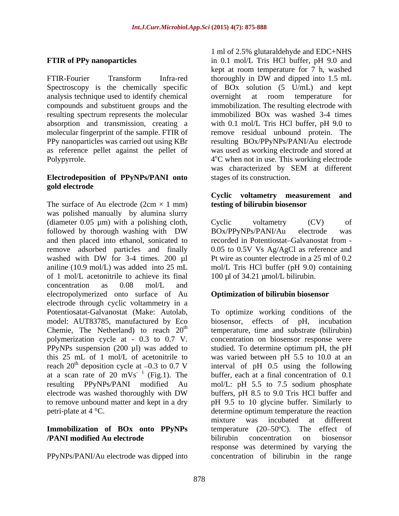FTIR-Fourier Transform Infra-red thoroughly in DW and dipped into 1.5 mL analysis technique used to identify chemical resulting spectrum represents the molecular

### **Electrodeposition of PPyNPs/PANI onto gold electrode**

The surface of Au electrode  $(2cm \times 1 mm)$ was polished manually by alumina slurry (diameter 0.05 µm) with a polishing cloth, Cyclic voltametry (CV) of followed by thorough washing with DW BOx/PPyNPs/PANI/Au electrode was and then placed into ethanol, sonicated to recorded in Potentiostat Galvanostat from remove adsorbed particles and finally 0.05 to 0.5V Vs Ag/AgCl as reference and washed with DW for 3-4 times. 200 µl Pt wire as counter electrode in a 25 ml of 0.2 aniline (10.9 mol/L) was added into 25 mL mol/L Tris HCl buffer (pH 9.0) containing of 1 mol/L acetonitrile to achieve its final concentration as 0.08 mol/L and electropolymerized onto surface of Au electrode through cyclic voltammetry in a Chemie, The Netherland) to reach 20<sup>th</sup> at a scan rate of  $20 \text{ mVs}^{-1}$  (Fig.1). The<br>resulting PPyNPs/PANI modified Au

### **Immobilization of BOx onto PPyNPs /PANI modified Au electrode**

PPyNPs/PANI/Au electrode was dipped into concentration of bilirubin in the range

**FTIR of PPy nanoparticles** in 0.1 mol/L Tris HCl buffer, pH 9.0 and Spectroscopy is the chemically specific of BOx solution (5 U/mL) and kept compounds and substituent groups and the immobilization. The resulting electrode with absorption and transmission, creating a with 0.1 mol/L Tris HCl buffer, pH 9.0 to molecular fingerprint of the sample. FTIR of remove residual unbound protein. The PPy nanoparticles was carried out using KBr resulting BOx/PPyNPs/PANI/Au electrode as reference pellet against the pellet of was used as working electrode and stored at Polypyrrole.  $4^{\circ}$ C when not in use. This working electrode 1 ml of 2.5% glutaraldehyde and EDC+NHS kept at room temperature for 7 h, washed thoroughly in DW and dipped into 1.5 mL overnight at room temperature for immobilized BOx was washed 3-4 times was characterized by SEM at different stages of its construction.

### **Cyclic voltametry measurement and testing of bilirubin biosensor**

Cyclic voltametry (CV) of BOx/PPyNPs/PANI/Au electrode was Pt wire as counter electrode in a 25 ml of 0.2 100 µl of 34.21 µmol/L bilirubin.

### **Optimization of bilirubin biosensor**

Potentiosatat-Galvanostat (Make: Autolab, To optimize working conditions of the model: AUT83785, manufactured by Eco biosensor, effects of pH, incubation <sup>th</sup> temperature, time and substrate (bilirubin) polymerization cycle at - 0.3 to 0.7 V. concentration on biosensor response were PPyNPs suspension (200 µl) was added to studied. To determine optimum pH, the pH this 25 mL of 1 mol/L of acetonitrile to was varied between pH 5.5 to 10.0 at an reach  $20<sup>th</sup>$  deposition cycle at  $-0.3$  to 0.7 V interval of pH 0.5 using the following <sup>th</sup> deposition cycle at  $-0.3$  to 0.7 V interval of pH 0.5 using the following  $^{-1}$  (Fig.1). The buffer, each at a final concentration of 0.1 resulting PPyNPs/PANI modified Au mol/L: pH 5.5 to 7.5 sodium phosphate electrode was washed thoroughly with DW buffers, pH 8.5 to 9.0 Tris HCl buffer and to remove unbound matter and kept in a dry pH 9.5 to 10 glycine buffer. Similarly to petri-plate at 4 °C. determine optimum temperature the reaction buffers, pH 8.5 to 9.0 Tris HCl buffer and mixture was incubated at different temperature  $(20-50^{\circ}C)$ . The effect of bilirubin concentration on biosensor response was determined by varying the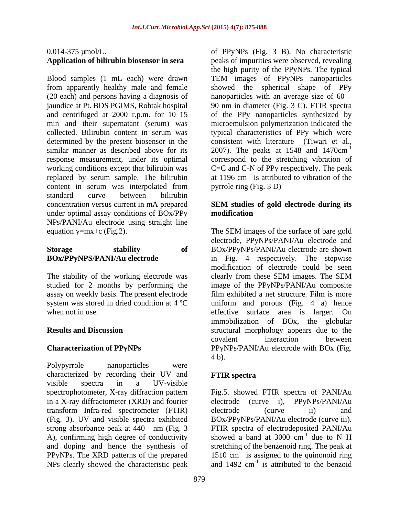# **Application of bilirubin biosensor in sera**

(20 each) and persons having a diagnosis of replaced by serum sample. The bilirubin content in serum was interpolated from standard curve between bilirubin concentration versus current in mA prepared SEM studies of gold electrode during its under optimal assay conditions of BOx/PPy **modification** NPs/PANI/Au electrode using straight line

The stability of the working electrode was electron these SEM images. The SEM

Polypyrrole nanoparticles were characterized by recording their UV and FTIR spectra visible spectra in a UV-visible spectrophotometer, X-ray diffraction pattern Fig.5. showed FTIR spectra of PANI/Au in a X-ray diffractometer (XRD) and fourier electrode (curve i), PPyNPs/PANI/Au transform Infra-red spectrometer (FTIR) (Fig. 3). UV and visible spectra exhibited BOx/PPyNPs/PANI/Au electrode (curve iii). strong absorbance peak at 440 nm (Fig. 3 FTIR spectra of electrodeposited PANI/Au A), confirming high degree of conductivity showed a band at 3000 cm<sup>-1</sup> due to N-H and doping and hence the synthesis of stretching of the benzenoid ring. The peak at PPyNPs. The XRD patterns of the prepared NPs clearly showed the characteristic peak

0.014-375 µmol/L. of PPyNPs (Fig. 3 B). No characteristic Blood samples (1 mL each) were drawn TEM images of PPyNPs nanoparticles from apparently healthy male and female showed the spherical shape of PPy jaundice at Pt. BDS PGIMS, Rohtak hospital 90 nm in diameter (Fig. 3 C). FTIR spectra and centrifuged at 2000 r.p.m. for 10–15 of the PPy nanoparticles synthesized by min and their supernatant (serum) was microemulsion polymerization indicated the collected. Bilirubin content in serum was typical characteristics of PPy which were determined by the present biosensor in the consistent with literature (Tiwari et al., similar manner as described above for its 2007). The peaks at 1548 and 1470cm<sup>-1</sup> response measurement, under its optimal correspond to the stretching vibration of working conditions except that bilirubin was C=C and C-N of PPy respectively. The peak peaks of impurities were observed, revealing the high purity of the PPyNPs. The typical nanoparticles with an average size of  $60 -$ -1 at 1196  $\text{cm}^{-1}$  is attributed to vibration of the pyrrole ring (Fig. 3 D)

### **SEM studies of gold electrode during its modification**

equation y=mx+c (Fig.2). The SEM images of the surface of bare gold **Storage stability of** BOx/PPyNPs/PANI/Au electrode are shown **BOx/PPyNPS/PANI/Au electrode**  in Fig. 4 respectively. The stepwise studied for 2 months by performing the image of the PPyNPs/PANI/Au composite assay on weekly basis. The present electrode film exhibited a net structure. Film is more system was stored in dried condition at  $4^{\circ}$ C uniform and porous (Fig. 4 a) hence when not in use. effective surface area is larger. On **Results and Discussion** structural morphology appears due to the **Characterization of PPyNPs** PPyNPs/PANI/Au electrode with BOx (Fig. electrode, PPyNPs/PANI/Au electrode and modification of electrode could be seen clearly from these SEM images.The SEM immobilization of BOx, the globular covalent interaction between 4 b).

### **FTIR spectra**

electrode (curve ii) and  $^{-1}$  due to N H due to  $N-H$ 1510 cm -1 is assigned to the quinonoid ring and  $1492 \text{ cm}^{-1}$  is attributed to the benzoid is attributed to the benzoid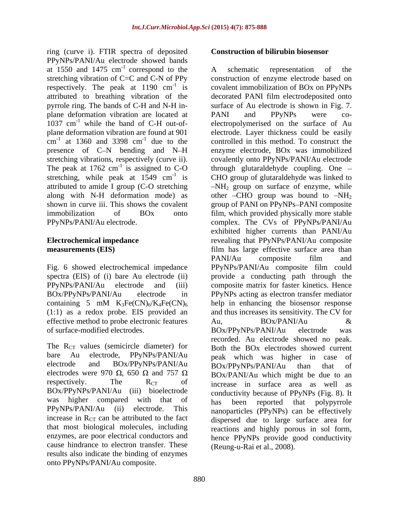ring (curve i). FTIR spectra of deposited PPyNPs/PANI/Au electrode showed bands at  $1550$  and  $1475$  cm<sup>-1</sup> correspond to the A schematic representation of the plane deformation vibration are located at <br>1037 cm<sup>-1</sup> while the band of C-H out-of-<br>1037 cm<sup>-1</sup> while the band of C-H out-of-<br>1037 cm<sup>-1</sup> while the band of C-H out-ofpresence of C-N bending and N-H The peak at 1762 cm<sup>-1</sup> is assigned to C-O stretching, while peak at 1549 cm<sup>-1</sup> is

containing 5 mM  $K_3Fe(CN)_6/K_4Fe(CN)_6$ <br>(1:1) as a redox probe. EIS provided an effective method to probe electronic features  $\qquad \qquad \text{Au}, \qquad \qquad \text{BOx/PANI/Au}$ of surface-modified electrodes. BOx/PPyNPs/PANI/Au electrode was

The  $R_{CT}$  values (semicircle diameter) for electrodes were 970  $\Omega$ , 650  $\Omega$  and 757  $\Omega$ BOx/PPyNPs/PANI/Au (iii) bioelectrode increase in  $R_{CT}$  can be attributed to the fact that most biological molecules, including enzymes, are poor electrical conductors and cause hindrance to electron transfer. These results also indicate the binding of enzymes onto PPyNPs/PANI/Au composite.

### **Construction of bilirubin biosensor**

correspond to the A schematic representation of the stretching vibration of C=C and C-N of PPy construction of enzyme electrode based on respectively. The peak at 1190  $cm^{-1}$  is covalent immobilization of BOx on PPyNPs attributed to breathing vibration of the decorated PANI film electrodeposited onto pyrrole ring. The bands of C-H and N-H in- surface of Au electrode is shown in Fig. 7.  $1037 \text{ cm}^{-1}$  while the band of C-H out-of- electropolymerised on the surface of Au plane deformation vibration are found at 901 electrode. Layer thickness could be easily  $\text{cm}^{-1}$  at 1360 and 3398  $\text{cm}^{-1}$  due to the controlled in this method. To construct the at 1360 and 3398  $cm^{-1}$  due to the controlled in this method. To construct the stretching vibrations, respectively (curve ii). covalently onto PPyNPs/PANI/Au electrode <sup>-1</sup> is assigned to C-O through glutaraldehyde coupling. One  $$ stretching, while peak at  $1549 \text{ cm}^{-1}$  is CHO group of glutaraldehyde was linked to attributed to amide I group (C-O stretching  $-NH_2$  group on surface of enzyme, while along with N-H deformation mode) as  $\qquad$  other -CHO group was bound to  $-NH_2$ shown in curve iii. This shows the covalent group of PANI on PPyNPs-PANI composite immobilization of BOx onto film, which provided physically more stable PPyNPs/PANI/Au electrode. complex. The CVs of PPyNPs/PANI/Au **Electrochemical impedance**  revealing that PPyNPs/PANI/Au composite **measurements (EIS)** film has large effective surface area than Fig. 6 showed electrochemical impedance PPyNPs/PANI/Au composite film could spectra (EIS) of (i) bare Au electrode (ii) provide a conducting path through the PPyNPs/PANI/Au electrode and (iii) composite matrix for faster kinetics. Hence BOx/PPyNPs/PANI/Au electrode in PPyNPs acting as electron transfer mediator (1:1) as a redox probe. EIS provided an and thus increases its sensitivity. The CV for bare Au electrode, PPyNPs/PANI/Au peak which was higher in case of electrode and  $BOX/PPyNPs/PANI/Au$   $BOX/PPvNPs/PANI/Au$  than that of respectively. The  $R_{CT}$  of increase in surface area as well as was higher compared with that of has been reported that polynyrrole PPyNPs/PANI/Au (ii) electrode. This nanoparticles (PPyNPs) can be effectively A schematic representation of the PANI and PPyNPs were co enzyme electrode, BOx was immobilized exhibited higher currents than PANI/Au PANI/Au composite film and help in enhancing the biosensor response Au,  $BOx/PANI/Au$  & BOx/PPyNPs/PANI/Au electrode was recorded. Au electrode showed no peak. Both the BOx electrodes showed current BOx/PPyNPs/PANI/Au than that of BOx/PANI/Au which might be due to an conductivity because of PPyNPs (Fig. 8). It has been reported that polypyrrole dispersed due to large surface area for reactions and highly porous in sol form, hence PPyNPs provide good conductivity (Reung-u-Rai et al., 2008).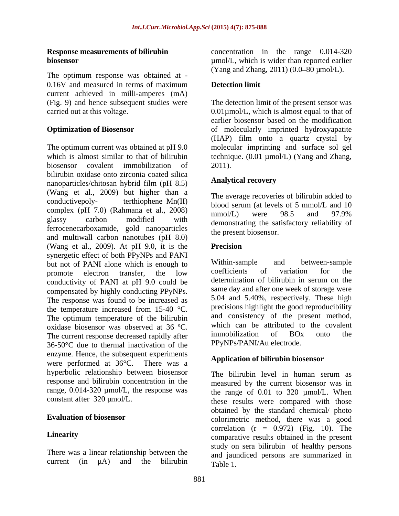The optimum response was obtained at - 0.16V and measured in terms of maximum **Detection limit** current achieved in milli-amperes (mA) (Fig. 9) and hence subsequent studies were

The optimum current was obtained at pH 9.0 molecular imprinting and surface sol-gel which is almost similar to that of bilirubin technique. (0.01 µmol/L) (Yang and Zhang, biosensor covalent immobilization of 2011). bilirubin oxidase onto zirconia coated silica<br>
nanoparticles/chitosan hybrid film (pH 8.5) **Analytical recovery** nanoparticles/chitosan hybrid film (pH 8.5) (Wang et al., 2009) but higher than a conductive poly-<br>terthiophene– $Mn(II)$ conductivepoly-<br>terthiophene-Mn(II) blood serum (at levels of 5 mmol/L and 10<br> $\frac{1}{200}$ complex (pH 7.0) (Rahmana et al., 2008)  $\frac{600 \text{ rad}}{2000}$  were 98.5 and 97.9% glassy carbon modified with demonstrating the satisfactory reliability of ferrocenecarboxamide, gold nanoparticles and multiwall carbon nanotubes (pH 8.0) (Wang et al., 2009). At pH 9.0, it is the synergetic effect of both PPyNPs and PANI<br>but not of PANI alone which is enough to Within-sample and between-sample but not of PANI alone which is enough to within-sample and between-sample<br>promote electron transfer the low coefficients of variation for the promote electron transfer, the low coefficients of variation for the conductivity of PANI at pH 9.0 could be determination of bilirubin in serum on the compensated by highly conducting PPyNPs. The response was found to be increased as the temperature increased from 15-40 °C. The optimum temperature of the bilirubin oxidase biosensor was observed at  $36^{\circ}$ C. Which can be attributed to the covalent<br>The current receives decreased repidly ofter immobilization of BOx onto the The current response decreased rapidly after 36-50°C due to thermal inactivation of the enzyme. Hence, the subsequent experiments were performed at 36°C. There was a hyperbolic relationship between biosensor<br>The bilirubin level in human serum as response and bilirubin concentration in the range,  $0.014$ -320  $\mu$ mol/L, the response was constant after 320  $\mu$ mol/L.

There was a linear relationship between the

**Response measurements of bilirubin** concentration in the range 0.014-320 **biosensor**  $\mu$ mol/L, which is wider than reported earlier (Yang and Zhang, 2011)  $(0.0 - 80 \mu mol/L)$ .

### **Detection limit**

carried out at this voltage. 0.01µmol/L, which is almost equal to that of **Optimization of Biosensor of molecularly imprinted hydroxyapatite** The detection limit of the present sensor was earlier biosensor based on the modification (HAP) film onto a quartz crystal by 2011).

### **Analytical recovery**

The average recoveries of bilirubin added to mmol/L) were 98.5 and 97.9% the present biosensor.

### **Precision**

Within-sample and between-sample coefficients of variation for the determination of bilirubin in serum on the same day and after one week of storage were 5.04 and 5.40%, respectively. These high precisions highlight the good reproducibility and consistency of the present method, which can be attributed to the covalent immobilization of BOx onto the PPyNPs/PANI/Au electrode.

### **Application of bilirubin biosensor**

constant after 320 µmol/L. these results were compared with those **Evaluation of biosensor** entitled colorimetric method, there was a good Linearity comparative results obtained in the present current (in  $\mu$ A) and the bilirubin  $T_{\text{able 1}}$ The bilirubin level in human serum as measured by the current biosensor was in the range of  $0.01$  to  $320 \mu \text{mol/L}$ . When obtained by the standard chemical/ photo correlation  $(r = 0.972)$  (Fig. 10). The study on sera bilirubin of healthy persons and jaundiced persons are summarized in Table 1.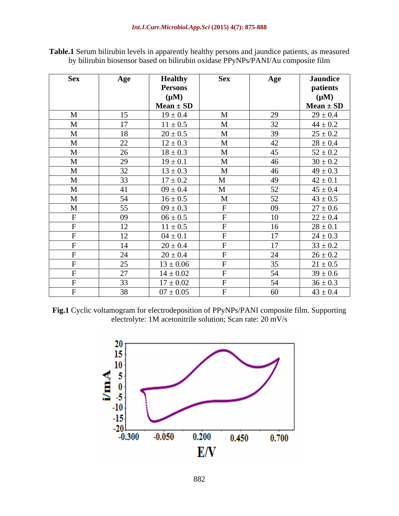| <b>Sex</b>  | Age                  | <b>Healthy</b> | <b>Sex</b>   | Age | <b>Jaundice</b> |
|-------------|----------------------|----------------|--------------|-----|-----------------|
|             |                      | <b>Persons</b> |              |     | patients        |
|             |                      | $(\mu M)$      |              |     | $(\mu M)$       |
|             |                      | $Mean \pm SD$  |              |     | $Mean \pm SD$   |
| $\mathbf M$ | 15                   | $19 \pm 0.4$   | $\mathbf M$  | 29  | $29 \pm 0.4$    |
| $\mathbf M$ | 17                   | $11 \pm 0.5$   | M            | 32  | $44 \pm 0.2$    |
| M           | 18                   | $20 \pm 0.5$   | $\mathbf{M}$ | 39  | $25 \pm 0.2$    |
| M           | 22                   | $12 \pm 0.3$   | M            | 42  | $28 \pm 0.4$    |
| M           | $\Omega$<br>$\angle$ | $18 \pm 0.3$   | $\mathbf M$  | 45  | $52 \pm 0.2$    |
| $\mathbf M$ | 29                   | $19 \pm 0.1$   | $\mathbf M$  | 46  | $30 \pm 0.2$    |
| $\mathbf M$ | 32                   | $13 \pm 0.3$   | $\mathbf M$  | 46  | $49 \pm 0.3$    |
| M           | 33                   | $17 \pm 0.2$   | M            | 49  | $42 \pm 0.1$    |
| M           | 41                   | $09 \pm 0.4$   | $\mathbf M$  | 52  | $45 \pm 0.4$    |
| $\mathbf M$ | 54                   | $16 \pm 0.5$   | $\mathbf M$  | 52  | $43 \pm 0.5$    |
| M           | 55                   | $09 \pm 0.3$   |              | 09  | $27 \pm 0.6$    |
|             | 09                   | $06 \pm 0.5$   |              | 10  | $22 \pm 0.4$    |
|             | 12                   | $11 \pm 0.5$   |              | 16  | $28 \pm 0.1$    |
|             | 12                   | $04 \pm 0.1$   |              | 17  | $24 \pm 0.3$    |
|             | 14                   | $20 \pm 0.4$   |              | 17  | $33 \pm 0.2$    |
|             | 24                   | $20 \pm 0.4$   |              | 24  | $26 \pm 0.2$    |
|             | 25                   | $13 \pm 0.06$  |              | 35  | $21 \pm 0.5$    |
|             | $\Omega$             | $14 \pm 0.02$  |              | 54  | $39 \pm 0.6$    |
|             | 33                   | $17 \pm 0.02$  |              | 54  | $36 \pm 0.3$    |
|             | 38                   | $07 \pm 0.05$  |              | -60 | $43 \pm 0.4$    |

**Table.1** Serum bilirubin levels in apparently healthy persons and jaundice patients, as measured by bilirubin biosensor based on bilirubin oxidase PPyNPs/PANI/Au composite film

**Fig.1** Cyclic voltamogram for electrodeposition of PPyNPs/PANI composite film. Supporting electrolyte: 1M acetonitrile solution; Scan rate: 20 mV/s

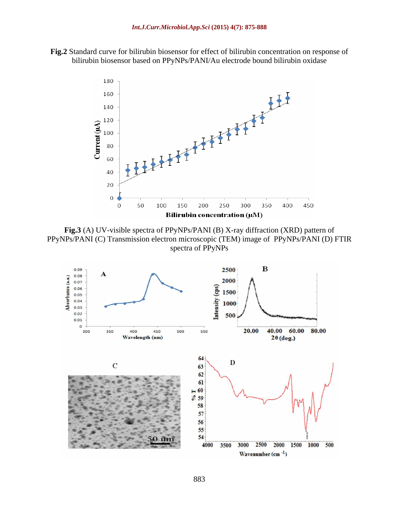**Fig.2** Standard curve for bilirubin biosensor for effect of bilirubin concentration on response of bilirubin biosensor based on PPyNPs/PANI/Au electrode bound bilirubin oxidase



**Fig.3** (A) UV-visible spectra of PPyNPs/PANI (B) X-ray diffraction (XRD) pattern of PPyNPs/PANI (C) Transmission electron microscopic (TEM) image of PPyNPs/PANI (D) FTIR spectra of PPyNPs

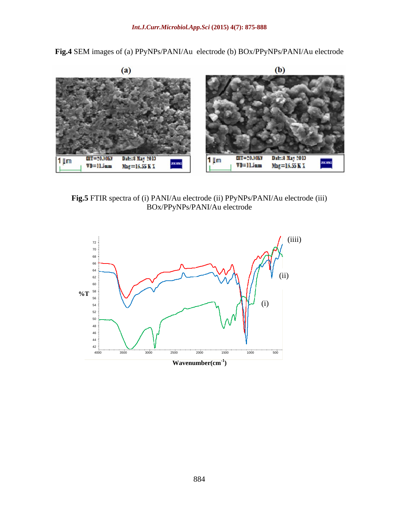**Fig.4** SEM images of (a) PPyNPs/PANI/Au electrode (b) BOx/PPyNPs/PANI/Au electrode



**Fig.5** FTIR spectra of (i) PANI/Au electrode (ii) PPyNPs/PANI/Au electrode (iii) BOx/PPyNPs/PANI/Au electrode

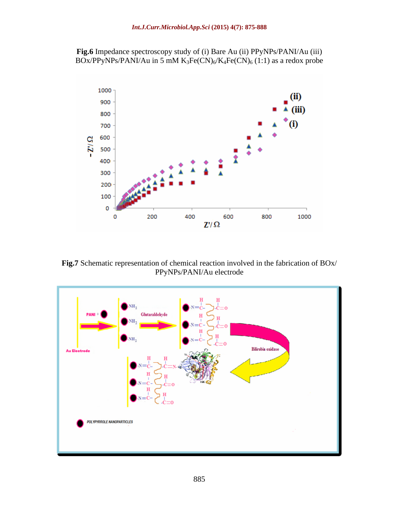**Fig.6** Impedance spectroscopy study of (i) Bare Au (ii) PPyNPs/PANI/Au (iii) BOx/PPyNPs/PANI/Au in 5 mM K<sub>3</sub>Fe(CN)<sub>6</sub>/K<sub>4</sub>Fe(CN)<sub>6</sub> (1:1) as a redox probe



**Fig.7** Schematic representation of chemical reaction involved in the fabrication of BOx/ PPyNPs/PANI/Au electrode

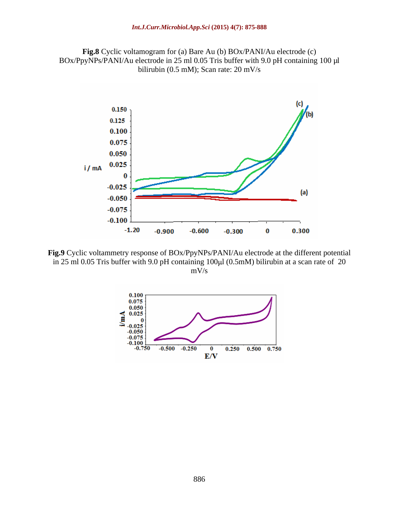**Fig.8** Cyclic voltamogram for (a) Bare Au (b) BOx/PANI/Au electrode (c) BOx/PpyNPs/PANI/Au electrode in 25 ml 0.05 Tris buffer with 9.0 pH containing 100 µl bilirubin (0.5 mM); Scan rate: 20 mV/s



**Fig.9** Cyclic voltammetry response of BOx/PpyNPs/PANI/Au electrode at the different potential in 25 ml 0.05 Tris buffer with 9.0 pH containing  $100 \mu$ l (0.5mM) bilirubin at a scan rate of 20 mV/s

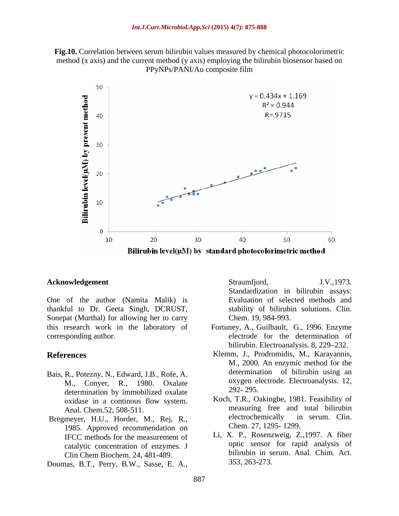**Fig.10.** Correlation between serum bilirubin values measured by chemical photocolorimetric method (x axis) and the current method (y axis) employing the bilirubin biosensor based on PPyNPs/PANI/Au composite film



One of the author (Namita Malik) is thankful to Dr. Geeta Singh, DCRUST, Sonepat (Murthal) for allowing her to carry this research work in the laboratory of Fortuney, A., Guilbault, G., 1996. Enzyme **Acknowledgement**<br>
Straumfjord, J.V.,1973.<br>
One of the author (Namita Malik) is Standardization in bilinubin assay:<br>
thankful to Dr. Geeta Singh, DCRUST, stability of bilinubin solutions. Clin.<br>
Sonepat (Muntha) for allowi

- Bais, R., Potezny, N., Edward, J.B., Rofe, A. M., Conyer, R., 1980. Oxalate oxygen el<br>determination by immobilized oxalate 292-295. determination by immobilized oxalate oxidase in a continous flow system.
- Bregmeyer, H.U., Horder, M., Rej, R., 1985. Approved recommendation on IFCC methods for the measurement of catalytic concentration of enzymes. J Clin Chem Biochem. 24, 481-489.

**Acknowledgement** Straumfjord, J.V., 1973. Standardization in bilirubin assays: Evaluation of selected methods and stability of bilirubin solutions. Clin. Chem. 19, 984-993.

- corresponding author. electrode for the determination of bilirubin. Electroanalysis. 8, 229–232.
- **References** Klemm, J., Prodromidis, M., Karayannis, M., 2000. An enzymic method for the determination of bilirubin using an oxygen electrode. Electroanalysis. 12, 292- 295.
	- Anal. Chem.52, 508-511. The measuring free and total bilirubin<br>meyer HII Horder M Rej R electrochemically in serum. Clin. Koch, T.R., Oakingbe, 1981. Feasibility of measuring free and total bilirubin electrochemically in serum. Clin. Chem. 27, 1295- 1299.
		- Li, X. P., Rosenzweig, Z.,1997. A fiber optic sensor for rapid analysis of bilirubin in serum. Anal. Chim. Act. 353, 263-273.